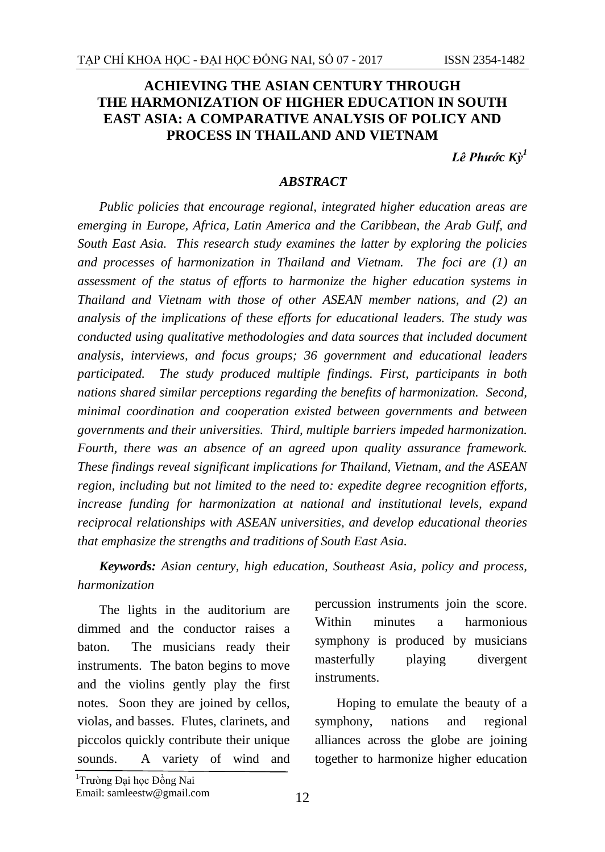## **ACHIEVING THE ASIAN CENTURY THROUGH THE HARMONIZATION OF HIGHER EDUCATION IN SOUTH EAST ASIA: A COMPARATIVE ANALYSIS OF POLICY AND PROCESS IN THAILAND AND VIETNAM**

*Lê Phước Kỳ 1*

## *ABSTRACT*

*Public policies that encourage regional, integrated higher education areas are emerging in Europe, Africa, Latin America and the Caribbean, the Arab Gulf, and South East Asia. This research study examines the latter by exploring the policies and processes of harmonization in Thailand and Vietnam. The foci are (1) an assessment of the status of efforts to harmonize the higher education systems in Thailand and Vietnam with those of other ASEAN member nations, and (2) an analysis of the implications of these efforts for educational leaders. The study was conducted using qualitative methodologies and data sources that included document analysis, interviews, and focus groups; 36 government and educational leaders participated. The study produced multiple findings. First, participants in both nations shared similar perceptions regarding the benefits of harmonization. Second, minimal coordination and cooperation existed between governments and between governments and their universities. Third, multiple barriers impeded harmonization. Fourth, there was an absence of an agreed upon quality assurance framework. These findings reveal significant implications for Thailand, Vietnam, and the ASEAN region, including but not limited to the need to: expedite degree recognition efforts, increase funding for harmonization at national and institutional levels, expand reciprocal relationships with ASEAN universities, and develop educational theories that emphasize the strengths and traditions of South East Asia.*

*Keywords: Asian century, high education, Southeast Asia, policy and process, harmonization*

The lights in the auditorium are dimmed and the conductor raises a baton. The musicians ready their instruments. The baton begins to move and the violins gently play the first notes. Soon they are joined by cellos, violas, and basses. Flutes, clarinets, and piccolos quickly contribute their unique sounds. A variety of wind and

percussion instruments join the score. Within minutes a harmonious symphony is produced by musicians masterfully playing divergent instruments.

Hoping to emulate the beauty of a symphony, nations and regional alliances across the globe are joining together to harmonize higher education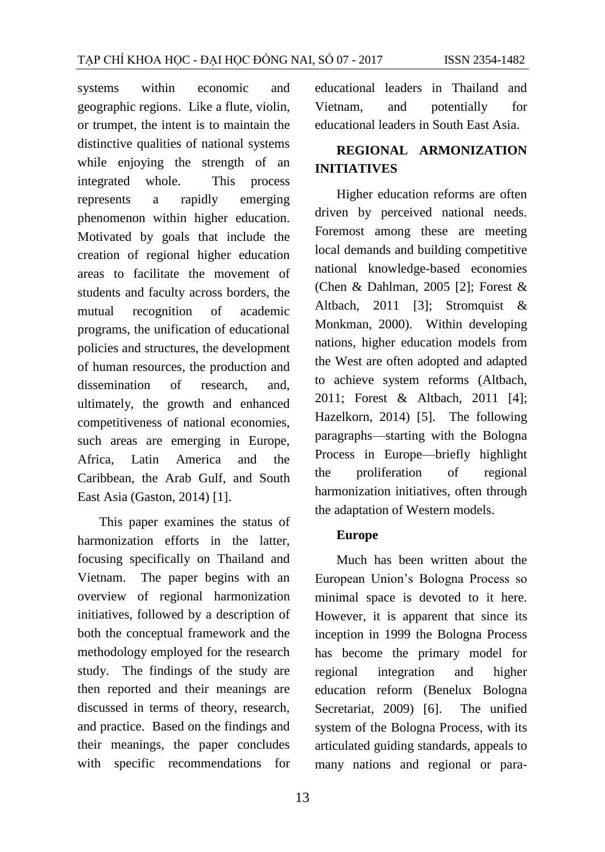systems within economic and geographic regions. Like a flute, violin, or trumpet, the intent is to maintain the distinctive qualities of national systems while enjoying the strength of an integrated whole. This process represents a rapidly emerging phenomenon within higher education. Motivated by goals that include the creation of regional higher education areas to facilitate the movement of students and faculty across borders, the mutual recognition of academic programs, the unification of educational policies and structures, the development of human resources, the production and dissemination of research, and ultimately, the growth and enhanced competitiveness of national economies, such areas are emerging in Europe, Africa, Latin America and the Caribbean, the Arab Gulf, and South East Asia (Gaston, 2014) [1].

This paper examines the status of harmonization efforts in the latter, focusing specifically on Thailand and Vietnam. The paper begins with an overview of regional harmonization initiatives, followed by a description of both the conceptual framework and the methodology employed for the research study. The findings of the study are then reported and their meanings are discussed in terms of theory, research, and practice. Based on the findings and their meanings, the paper concludes with specific recommendations for

educational leaders in Thailand and Vietnam, and potentially for educational leaders in South East Asia.

## **REGIONAL ARMONIZATION INITIATIVES**

Higher education reforms are often driven by perceived national needs. Foremost among these are meeting local demands and building competitive national knowledge-based economies (Chen & Dahlman, 2005 [2]; Forest & Altbach, 2011 [3]; Stromquist & Monkman, 2000). Within developing nations, higher education models from the West are often adopted and adapted to achieve system reforms (Altbach, 2011; Forest & Altbach, 2011 [4]; Hazelkorn, 2014) [5]. The following paragraphs—starting with the Bologna Process in Europe—briefly highlight the proliferation of regional harmonization initiatives, often through the adaptation of Western models.

#### **Europe**

Much has been written about the European Union's Bologna Process so minimal space is devoted to it here. However, it is apparent that since its inception in 1999 the Bologna Process has become the primary model for regional integration and higher education reform (Benelux Bologna Secretariat, 2009) [6]. The unified system of the Bologna Process, with its articulated guiding standards, appeals to many nations and regional or para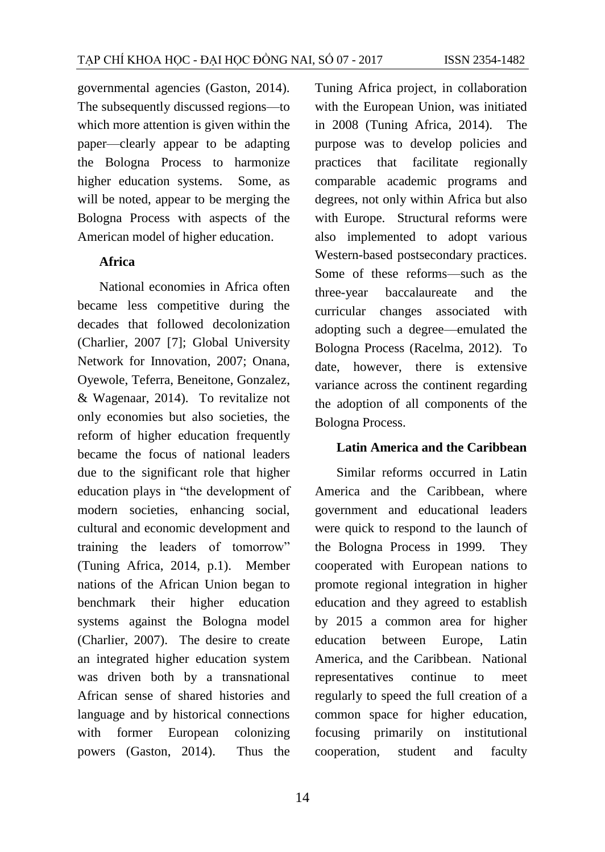governmental agencies (Gaston, 2014). The subsequently discussed regions—to which more attention is given within the paper—clearly appear to be adapting the Bologna Process to harmonize higher education systems. Some, as will be noted, appear to be merging the Bologna Process with aspects of the American model of higher education.

#### **Africa**

National economies in Africa often became less competitive during the decades that followed decolonization (Charlier, 2007 [7]; Global University Network for Innovation, 2007; Onana, Oyewole, Teferra, Beneitone, Gonzalez, & Wagenaar, 2014). To revitalize not only economies but also societies, the reform of higher education frequently became the focus of national leaders due to the significant role that higher education plays in "the development of modern societies, enhancing social, cultural and economic development and training the leaders of tomorrow" (Tuning Africa, 2014, p.1). Member nations of the African Union began to benchmark their higher education systems against the Bologna model (Charlier, 2007). The desire to create an integrated higher education system was driven both by a transnational African sense of shared histories and language and by historical connections with former European colonizing powers (Gaston, 2014). Thus the

Tuning Africa project, in collaboration with the European Union, was initiated in 2008 (Tuning Africa, 2014). The purpose was to develop policies and practices that facilitate regionally comparable academic programs and degrees, not only within Africa but also with Europe. Structural reforms were also implemented to adopt various Western-based postsecondary practices. Some of these reforms—such as the three-year baccalaureate and the curricular changes associated with adopting such a degree—emulated the Bologna Process (Racelma, 2012). To date, however, there is extensive variance across the continent regarding the adoption of all components of the Bologna Process.

#### **Latin America and the Caribbean**

Similar reforms occurred in Latin America and the Caribbean, where government and educational leaders were quick to respond to the launch of the Bologna Process in 1999. They cooperated with European nations to promote regional integration in higher education and they agreed to establish by 2015 a common area for higher education between Europe, Latin America, and the Caribbean. National representatives continue to meet regularly to speed the full creation of a common space for higher education, focusing primarily on institutional cooperation, student and faculty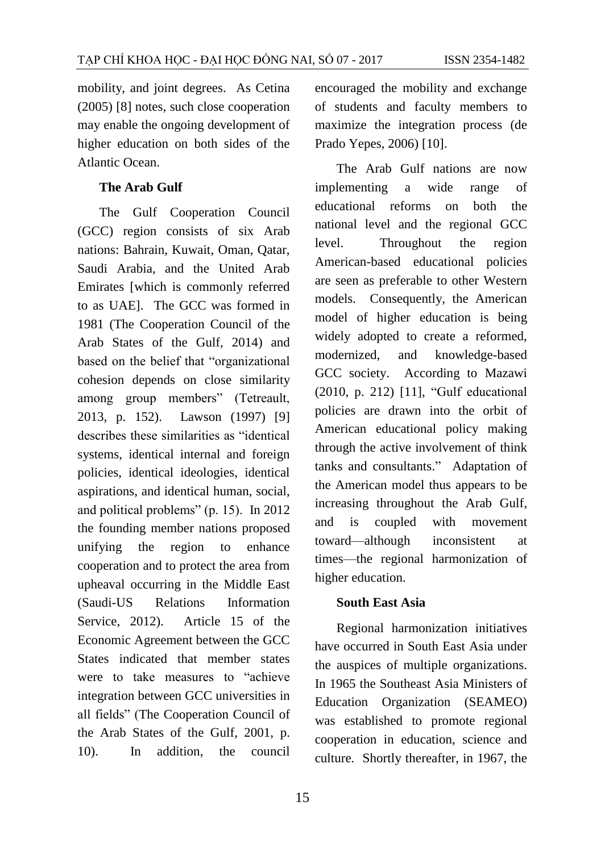mobility, and joint degrees. As Cetina (2005) [8] notes, such close cooperation may enable the ongoing development of higher education on both sides of the Atlantic Ocean.

#### **The Arab Gulf**

The Gulf Cooperation Council (GCC) region consists of six Arab nations: Bahrain, Kuwait, Oman, Qatar, Saudi Arabia, and the United Arab Emirates [which is commonly referred to as UAE]. The GCC was formed in 1981 (The Cooperation Council of the Arab States of the Gulf, 2014) and based on the belief that "organizational cohesion depends on close similarity among group members" (Tetreault, 2013, p. 152). Lawson (1997) [9] describes these similarities as "identical systems, identical internal and foreign policies, identical ideologies, identical aspirations, and identical human, social, and political problems" (p. 15). In 2012 the founding member nations proposed unifying the region to enhance cooperation and to protect the area from upheaval occurring in the Middle East (Saudi-US Relations Information Service, 2012). Article 15 of the Economic Agreement between the GCC States indicated that member states were to take measures to "achieve integration between GCC universities in all fields" (The Cooperation Council of the Arab States of the Gulf, 2001, p. 10). In addition, the council

encouraged the mobility and exchange of students and faculty members to maximize the integration process (de Prado Yepes, 2006) [10].

The Arab Gulf nations are now implementing a wide range of educational reforms on both the national level and the regional GCC level. Throughout the region American-based educational policies are seen as preferable to other Western models. Consequently, the American model of higher education is being widely adopted to create a reformed, modernized, and knowledge-based GCC society. According to Mazawi (2010, p. 212) [11], "Gulf educational policies are drawn into the orbit of American educational policy making through the active involvement of think tanks and consultants." Adaptation of the American model thus appears to be increasing throughout the Arab Gulf, and is coupled with movement toward—although inconsistent at times—the regional harmonization of higher education.

#### **South East Asia**

Regional harmonization initiatives have occurred in South East Asia under the auspices of multiple organizations. In 1965 the Southeast Asia Ministers of Education Organization (SEAMEO) was established to promote regional cooperation in education, science and culture. Shortly thereafter, in 1967, the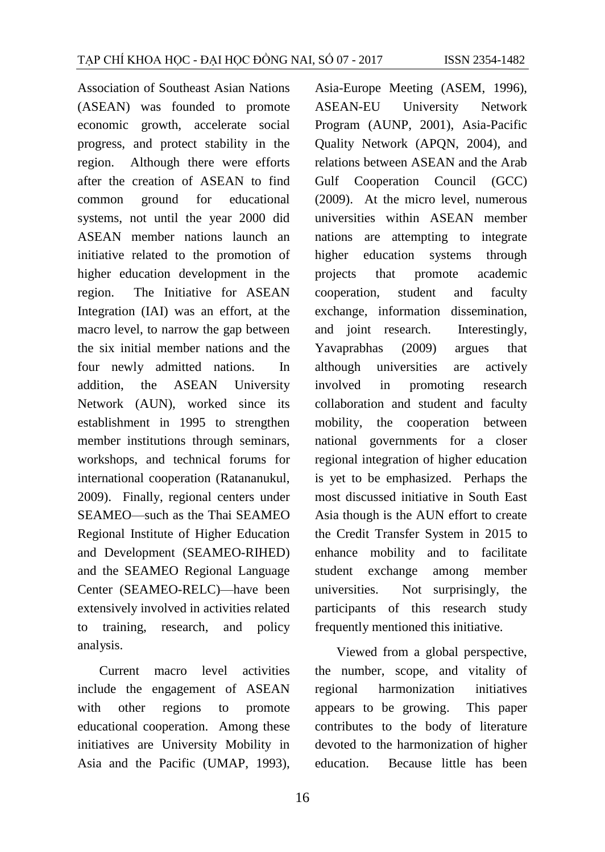Association of Southeast Asian Nations (ASEAN) was founded to promote economic growth, accelerate social progress, and protect stability in the region. Although there were efforts after the creation of ASEAN to find common ground for educational systems, not until the year 2000 did ASEAN member nations launch an initiative related to the promotion of higher education development in the region. The Initiative for ASEAN Integration (IAI) was an effort, at the macro level, to narrow the gap between the six initial member nations and the four newly admitted nations. In addition, the ASEAN University Network (AUN), worked since its establishment in 1995 to strengthen member institutions through seminars, workshops, and technical forums for international cooperation (Ratananukul, 2009). Finally, regional centers under SEAMEO—such as the Thai SEAMEO Regional Institute of Higher Education and Development (SEAMEO-RIHED) and the SEAMEO Regional Language Center (SEAMEO-RELC)—have been extensively involved in activities related to training, research, and policy analysis.

Current macro level activities include the engagement of ASEAN with other regions to promote educational cooperation. Among these initiatives are University Mobility in Asia and the Pacific (UMAP, 1993), Asia-Europe Meeting (ASEM, 1996), ASEAN-EU University Network Program (AUNP, 2001), Asia-Pacific Quality Network (APQN, 2004), and relations between ASEAN and the Arab Gulf Cooperation Council (GCC) (2009). At the micro level, numerous universities within ASEAN member nations are attempting to integrate higher education systems through projects that promote academic cooperation, student and faculty exchange, information dissemination, and joint research. Interestingly, Yavaprabhas (2009) argues that although universities are actively involved in promoting research collaboration and student and faculty mobility, the cooperation between national governments for a closer regional integration of higher education is yet to be emphasized. Perhaps the most discussed initiative in South East Asia though is the AUN effort to create the Credit Transfer System in 2015 to enhance mobility and to facilitate student exchange among member universities. Not surprisingly, the participants of this research study frequently mentioned this initiative.

Viewed from a global perspective, the number, scope, and vitality of regional harmonization initiatives appears to be growing. This paper contributes to the body of literature devoted to the harmonization of higher education. Because little has been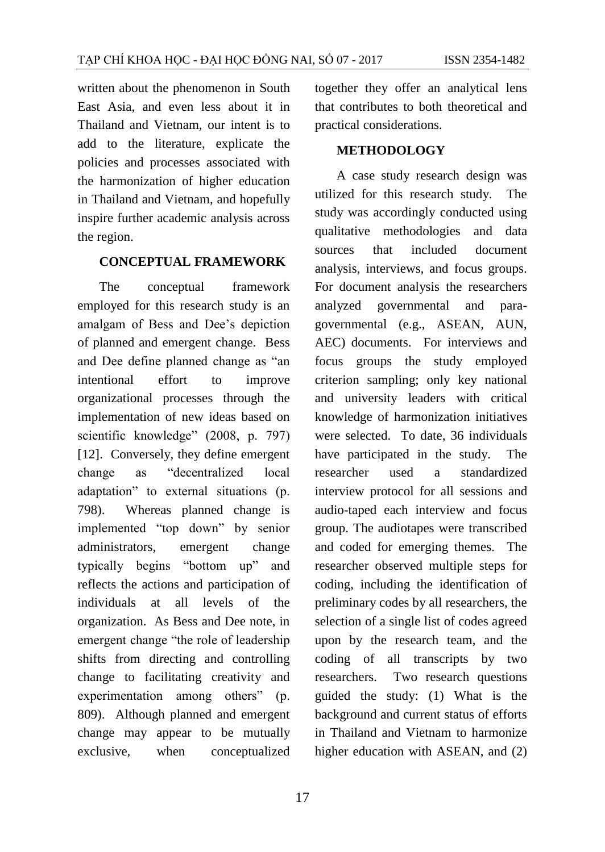written about the phenomenon in South East Asia, and even less about it in Thailand and Vietnam, our intent is to add to the literature, explicate the policies and processes associated with the harmonization of higher education in Thailand and Vietnam, and hopefully inspire further academic analysis across the region.

#### **CONCEPTUAL FRAMEWORK**

The conceptual framework employed for this research study is an amalgam of Bess and Dee's depiction of planned and emergent change. Bess and Dee define planned change as "an intentional effort to improve organizational processes through the implementation of new ideas based on scientific knowledge" (2008, p. 797) [12]. Conversely, they define emergent change as "decentralized local adaptation" to external situations (p. 798). Whereas planned change is implemented "top down" by senior administrators, emergent change typically begins "bottom up" and reflects the actions and participation of individuals at all levels of the organization. As Bess and Dee note, in emergent change "the role of leadership shifts from directing and controlling change to facilitating creativity and experimentation among others" (p. 809). Although planned and emergent change may appear to be mutually exclusive, when conceptualized

together they offer an analytical lens that contributes to both theoretical and practical considerations.

#### **METHODOLOGY**

A case study research design was utilized for this research study. The study was accordingly conducted using qualitative methodologies and data sources that included document analysis, interviews, and focus groups. For document analysis the researchers analyzed governmental and paragovernmental (e.g., ASEAN, AUN, AEC) documents. For interviews and focus groups the study employed criterion sampling; only key national and university leaders with critical knowledge of harmonization initiatives were selected. To date, 36 individuals have participated in the study. The researcher used a standardized interview protocol for all sessions and audio-taped each interview and focus group. The audiotapes were transcribed and coded for emerging themes. The researcher observed multiple steps for coding, including the identification of preliminary codes by all researchers, the selection of a single list of codes agreed upon by the research team, and the coding of all transcripts by two researchers. Two research questions guided the study: (1) What is the background and current status of efforts in Thailand and Vietnam to harmonize higher education with ASEAN, and (2)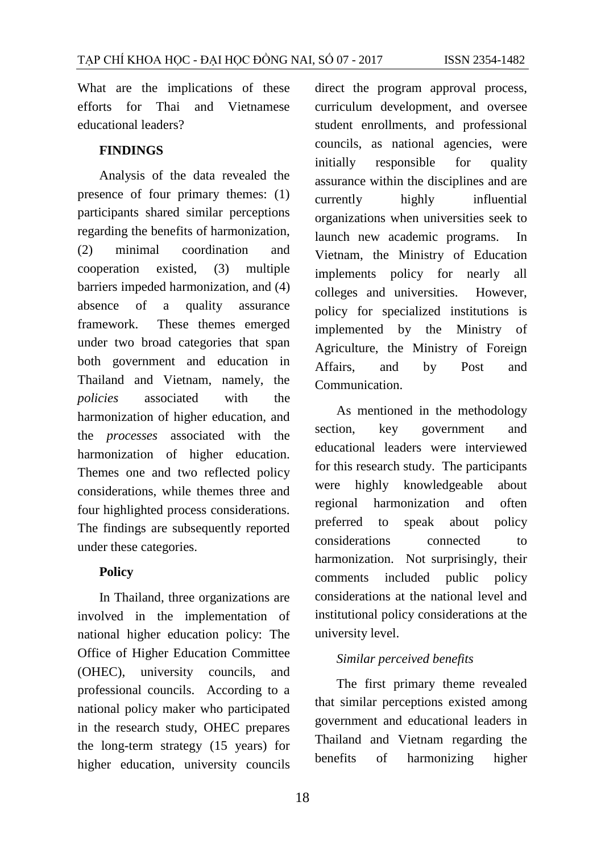What are the implications of these efforts for Thai and Vietnamese educational leaders?

### **FINDINGS**

Analysis of the data revealed the presence of four primary themes: (1) participants shared similar perceptions regarding the benefits of harmonization, (2) minimal coordination and cooperation existed, (3) multiple barriers impeded harmonization, and (4) absence of a quality assurance framework. These themes emerged under two broad categories that span both government and education in Thailand and Vietnam, namely, the *policies* associated with the harmonization of higher education, and the *processes* associated with the harmonization of higher education. Themes one and two reflected policy considerations, while themes three and four highlighted process considerations. The findings are subsequently reported under these categories.

#### **Policy**

In Thailand, three organizations are involved in the implementation of national higher education policy: The Office of Higher Education Committee (OHEC), university councils, and professional councils. According to a national policy maker who participated in the research study, OHEC prepares the long-term strategy (15 years) for higher education, university councils direct the program approval process, curriculum development, and oversee student enrollments, and professional councils, as national agencies, were initially responsible for quality assurance within the disciplines and are currently highly influential organizations when universities seek to launch new academic programs. In Vietnam, the Ministry of Education implements policy for nearly all colleges and universities. However, policy for specialized institutions is implemented by the Ministry of Agriculture, the Ministry of Foreign Affairs, and by Post and Communication.

As mentioned in the methodology section, key government and educational leaders were interviewed for this research study. The participants were highly knowledgeable about regional harmonization and often preferred to speak about policy considerations connected to harmonization. Not surprisingly, their comments included public policy considerations at the national level and institutional policy considerations at the university level.

#### *Similar perceived benefits*

The first primary theme revealed that similar perceptions existed among government and educational leaders in Thailand and Vietnam regarding the benefits of harmonizing higher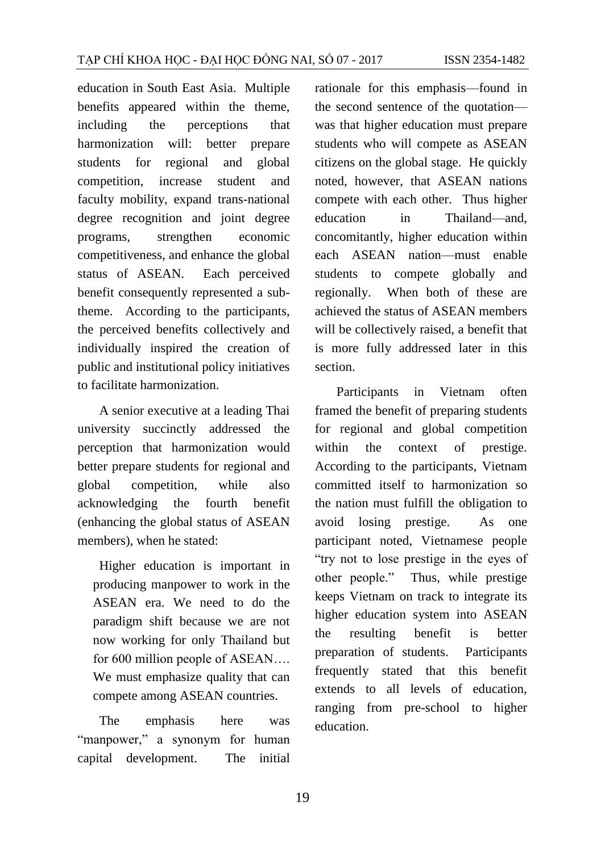education in South East Asia. Multiple benefits appeared within the theme, including the perceptions that harmonization will: better prepare students for regional and global competition, increase student and faculty mobility, expand trans-national degree recognition and joint degree programs, strengthen economic competitiveness, and enhance the global status of ASEAN. Each perceived benefit consequently represented a subtheme. According to the participants, the perceived benefits collectively and individually inspired the creation of public and institutional policy initiatives to facilitate harmonization.

A senior executive at a leading Thai university succinctly addressed the perception that harmonization would better prepare students for regional and global competition, while also acknowledging the fourth benefit (enhancing the global status of ASEAN members), when he stated:

Higher education is important in producing manpower to work in the ASEAN era. We need to do the paradigm shift because we are not now working for only Thailand but for 600 million people of ASEAN…. We must emphasize quality that can compete among ASEAN countries.

The emphasis here was "manpower," a synonym for human capital development. The initial

rationale for this emphasis—found in the second sentence of the quotation was that higher education must prepare students who will compete as ASEAN citizens on the global stage. He quickly noted, however, that ASEAN nations compete with each other. Thus higher education in Thailand—and, concomitantly, higher education within each ASEAN nation—must enable students to compete globally and regionally. When both of these are achieved the status of ASEAN members will be collectively raised, a benefit that is more fully addressed later in this section.

Participants in Vietnam often framed the benefit of preparing students for regional and global competition within the context of prestige. According to the participants, Vietnam committed itself to harmonization so the nation must fulfill the obligation to avoid losing prestige. As one participant noted, Vietnamese people "try not to lose prestige in the eyes of other people." Thus, while prestige keeps Vietnam on track to integrate its higher education system into ASEAN the resulting benefit is better preparation of students. Participants frequently stated that this benefit extends to all levels of education, ranging from pre-school to higher education.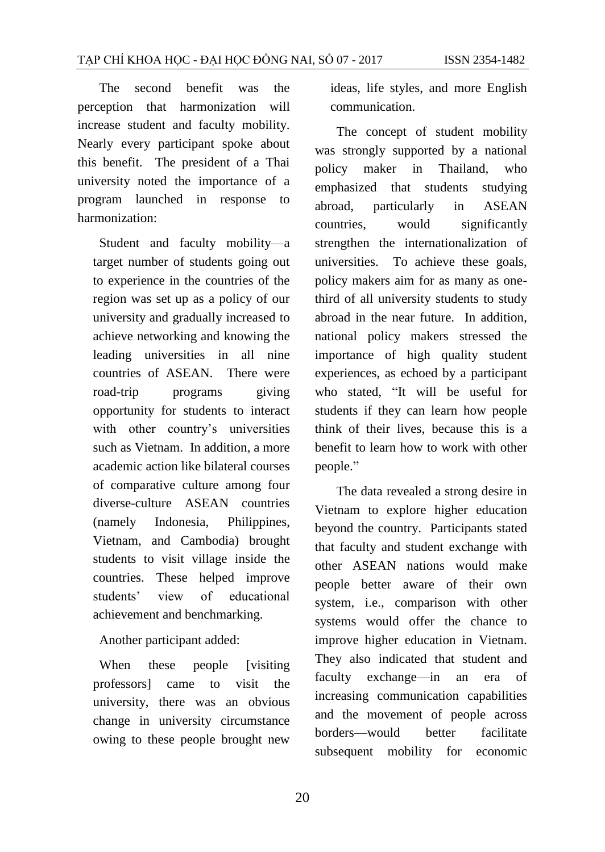The second benefit was the perception that harmonization will increase student and faculty mobility. Nearly every participant spoke about this benefit. The president of a Thai university noted the importance of a program launched in response to harmonization:

Student and faculty mobility—a target number of students going out to experience in the countries of the region was set up as a policy of our university and gradually increased to achieve networking and knowing the leading universities in all nine countries of ASEAN. There were road-trip programs giving opportunity for students to interact with other country's universities such as Vietnam. In addition, a more academic action like bilateral courses of comparative culture among four diverse-culture ASEAN countries (namely Indonesia, Philippines, Vietnam, and Cambodia) brought students to visit village inside the countries. These helped improve students' view of educational achievement and benchmarking.

Another participant added:

When these people [visiting] professors] came to visit the university, there was an obvious change in university circumstance owing to these people brought new ideas, life styles, and more English communication.

The concept of student mobility was strongly supported by a national policy maker in Thailand, who emphasized that students studying abroad, particularly in ASEAN countries, would significantly strengthen the internationalization of universities. To achieve these goals, policy makers aim for as many as onethird of all university students to study abroad in the near future. In addition, national policy makers stressed the importance of high quality student experiences, as echoed by a participant who stated, "It will be useful for students if they can learn how people think of their lives, because this is a benefit to learn how to work with other people."

The data revealed a strong desire in Vietnam to explore higher education beyond the country. Participants stated that faculty and student exchange with other ASEAN nations would make people better aware of their own system, i.e., comparison with other systems would offer the chance to improve higher education in Vietnam. They also indicated that student and faculty exchange—in an era of increasing communication capabilities and the movement of people across borders—would better facilitate subsequent mobility for economic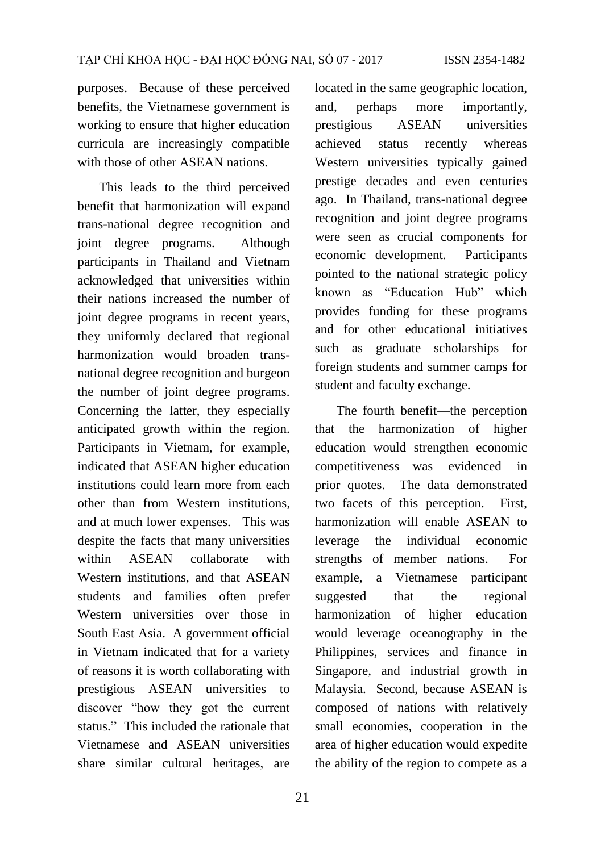purposes. Because of these perceived benefits, the Vietnamese government is working to ensure that higher education curricula are increasingly compatible with those of other ASEAN nations.

This leads to the third perceived benefit that harmonization will expand trans-national degree recognition and joint degree programs. Although participants in Thailand and Vietnam acknowledged that universities within their nations increased the number of joint degree programs in recent years, they uniformly declared that regional harmonization would broaden transnational degree recognition and burgeon the number of joint degree programs. Concerning the latter, they especially anticipated growth within the region. Participants in Vietnam, for example, indicated that ASEAN higher education institutions could learn more from each other than from Western institutions, and at much lower expenses. This was despite the facts that many universities within ASEAN collaborate with Western institutions, and that ASEAN students and families often prefer Western universities over those in South East Asia. A government official in Vietnam indicated that for a variety of reasons it is worth collaborating with prestigious ASEAN universities to discover "how they got the current status." This included the rationale that Vietnamese and ASEAN universities share similar cultural heritages, are

located in the same geographic location, and, perhaps more importantly, prestigious ASEAN universities achieved status recently whereas Western universities typically gained prestige decades and even centuries ago. In Thailand, trans-national degree recognition and joint degree programs were seen as crucial components for economic development. Participants pointed to the national strategic policy known as "Education Hub" which provides funding for these programs and for other educational initiatives such as graduate scholarships for foreign students and summer camps for student and faculty exchange.

The fourth benefit—the perception that the harmonization of higher education would strengthen economic competitiveness—was evidenced in prior quotes. The data demonstrated two facets of this perception. First, harmonization will enable ASEAN to leverage the individual economic strengths of member nations. For example, a Vietnamese participant suggested that the regional harmonization of higher education would leverage oceanography in the Philippines, services and finance in Singapore, and industrial growth in Malaysia. Second, because ASEAN is composed of nations with relatively small economies, cooperation in the area of higher education would expedite the ability of the region to compete as a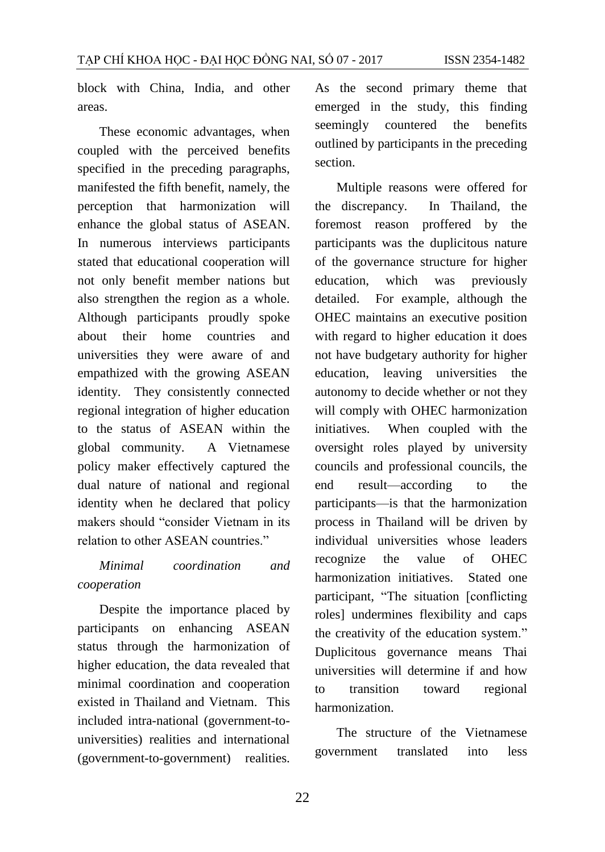block with China, India, and other areas.

These economic advantages, when coupled with the perceived benefits specified in the preceding paragraphs, manifested the fifth benefit, namely, the perception that harmonization will enhance the global status of ASEAN. In numerous interviews participants stated that educational cooperation will not only benefit member nations but also strengthen the region as a whole. Although participants proudly spoke about their home countries and universities they were aware of and empathized with the growing ASEAN identity. They consistently connected regional integration of higher education to the status of ASEAN within the global community. A Vietnamese policy maker effectively captured the dual nature of national and regional identity when he declared that policy makers should "consider Vietnam in its relation to other ASEAN countries."

## *Minimal coordination and cooperation*

Despite the importance placed by participants on enhancing ASEAN status through the harmonization of higher education, the data revealed that minimal coordination and cooperation existed in Thailand and Vietnam. This included intra-national (government-touniversities) realities and international (government-to-government) realities.

As the second primary theme that emerged in the study, this finding seemingly countered the benefits outlined by participants in the preceding section.

Multiple reasons were offered for the discrepancy. In Thailand, the foremost reason proffered by the participants was the duplicitous nature of the governance structure for higher education, which was previously detailed. For example, although the OHEC maintains an executive position with regard to higher education it does not have budgetary authority for higher education, leaving universities the autonomy to decide whether or not they will comply with OHEC harmonization initiatives. When coupled with the oversight roles played by university councils and professional councils, the end result—according to the participants—is that the harmonization process in Thailand will be driven by individual universities whose leaders recognize the value of OHEC harmonization initiatives. Stated one participant, "The situation [conflicting roles] undermines flexibility and caps the creativity of the education system." Duplicitous governance means Thai universities will determine if and how to transition toward regional harmonization.

The structure of the Vietnamese government translated into less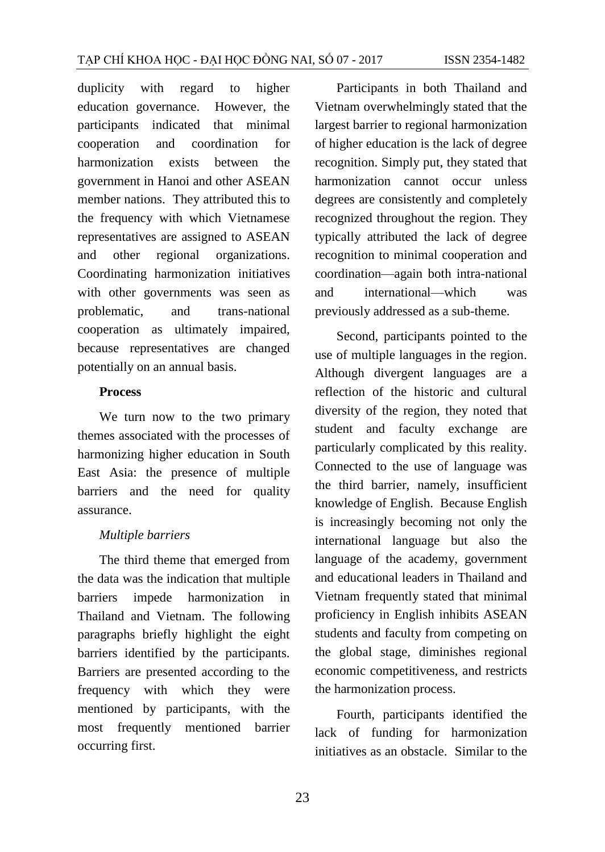duplicity with regard to higher education governance. However, the participants indicated that minimal cooperation and coordination for harmonization exists between the government in Hanoi and other ASEAN member nations. They attributed this to the frequency with which Vietnamese representatives are assigned to ASEAN and other regional organizations. Coordinating harmonization initiatives with other governments was seen as problematic, and trans-national cooperation as ultimately impaired, because representatives are changed potentially on an annual basis.

#### **Process**

We turn now to the two primary themes associated with the processes of harmonizing higher education in South East Asia: the presence of multiple barriers and the need for quality assurance.

#### *Multiple barriers*

The third theme that emerged from the data was the indication that multiple barriers impede harmonization in Thailand and Vietnam. The following paragraphs briefly highlight the eight barriers identified by the participants. Barriers are presented according to the frequency with which they were mentioned by participants, with the most frequently mentioned barrier occurring first.

Participants in both Thailand and Vietnam overwhelmingly stated that the largest barrier to regional harmonization of higher education is the lack of degree recognition. Simply put, they stated that harmonization cannot occur unless degrees are consistently and completely recognized throughout the region. They typically attributed the lack of degree recognition to minimal cooperation and coordination—again both intra-national and international—which was previously addressed as a sub-theme.

Second, participants pointed to the use of multiple languages in the region. Although divergent languages are a reflection of the historic and cultural diversity of the region, they noted that student and faculty exchange are particularly complicated by this reality. Connected to the use of language was the third barrier, namely, insufficient knowledge of English. Because English is increasingly becoming not only the international language but also the language of the academy, government and educational leaders in Thailand and Vietnam frequently stated that minimal proficiency in English inhibits ASEAN students and faculty from competing on the global stage, diminishes regional economic competitiveness, and restricts the harmonization process.

Fourth, participants identified the lack of funding for harmonization initiatives as an obstacle. Similar to the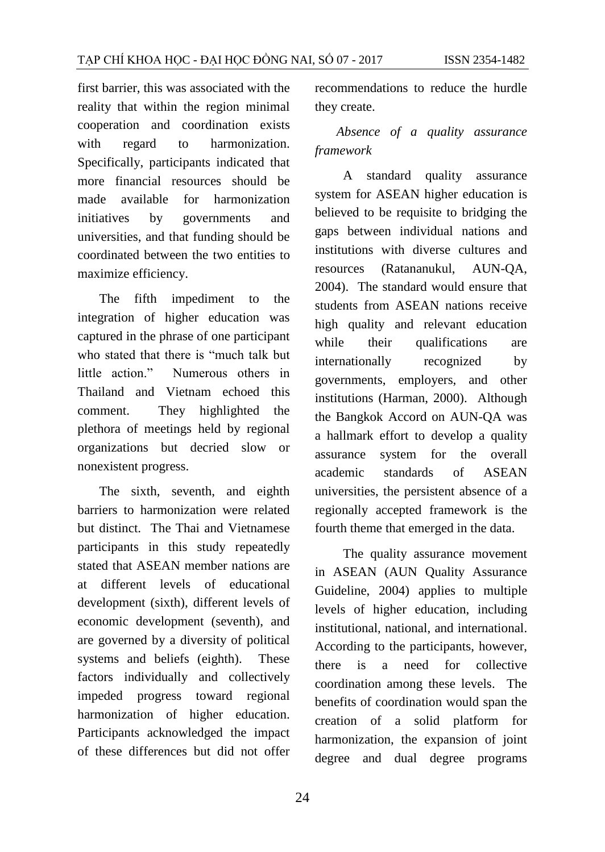first barrier, this was associated with the reality that within the region minimal cooperation and coordination exists with regard to harmonization. Specifically, participants indicated that more financial resources should be made available for harmonization initiatives by governments and universities, and that funding should be coordinated between the two entities to maximize efficiency.

The fifth impediment to the integration of higher education was captured in the phrase of one participant who stated that there is "much talk but little action." Numerous others in Thailand and Vietnam echoed this comment. They highlighted the plethora of meetings held by regional organizations but decried slow or nonexistent progress.

The sixth, seventh, and eighth barriers to harmonization were related but distinct. The Thai and Vietnamese participants in this study repeatedly stated that ASEAN member nations are at different levels of educational development (sixth), different levels of economic development (seventh), and are governed by a diversity of political systems and beliefs (eighth). These factors individually and collectively impeded progress toward regional harmonization of higher education. Participants acknowledged the impact of these differences but did not offer

recommendations to reduce the hurdle they create.

## *Absence of a quality assurance framework*

A standard quality assurance system for ASEAN higher education is believed to be requisite to bridging the gaps between individual nations and institutions with diverse cultures and resources (Ratananukul, AUN-QA, 2004). The standard would ensure that students from ASEAN nations receive high quality and relevant education while their qualifications are internationally recognized by governments, employers, and other institutions (Harman, 2000). Although the Bangkok Accord on AUN-QA was a hallmark effort to develop a quality assurance system for the overall academic standards of ASEAN universities, the persistent absence of a regionally accepted framework is the fourth theme that emerged in the data.

 The quality assurance movement in ASEAN (AUN Quality Assurance Guideline, 2004) applies to multiple levels of higher education, including institutional, national, and international. According to the participants, however, there is a need for collective coordination among these levels. The benefits of coordination would span the creation of a solid platform for harmonization, the expansion of joint degree and dual degree programs

24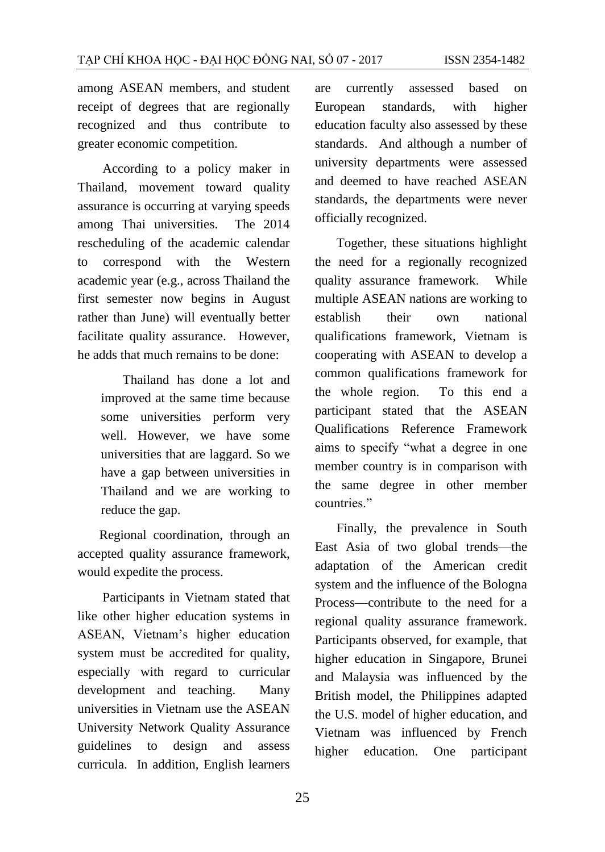among ASEAN members, and student receipt of degrees that are regionally recognized and thus contribute to greater economic competition.

According to a policy maker in Thailand, movement toward quality assurance is occurring at varying speeds among Thai universities. The 2014 rescheduling of the academic calendar to correspond with the Western academic year (e.g., across Thailand the first semester now begins in August rather than June) will eventually better facilitate quality assurance. However, he adds that much remains to be done:

> Thailand has done a lot and improved at the same time because some universities perform very well. However, we have some universities that are laggard. So we have a gap between universities in Thailand and we are working to reduce the gap.

Regional coordination, through an accepted quality assurance framework, would expedite the process.

Participants in Vietnam stated that like other higher education systems in ASEAN, Vietnam's higher education system must be accredited for quality, especially with regard to curricular development and teaching. Many universities in Vietnam use the ASEAN University Network Quality Assurance guidelines to design and assess curricula. In addition, English learners

are currently assessed based on European standards, with higher education faculty also assessed by these standards. And although a number of university departments were assessed and deemed to have reached ASEAN standards, the departments were never officially recognized.

Together, these situations highlight the need for a regionally recognized quality assurance framework. While multiple ASEAN nations are working to establish their own national qualifications framework, Vietnam is cooperating with ASEAN to develop a common qualifications framework for the whole region. To this end a participant stated that the ASEAN Qualifications Reference Framework aims to specify "what a degree in one member country is in comparison with the same degree in other member countries."

Finally, the prevalence in South East Asia of two global trends—the adaptation of the American credit system and the influence of the Bologna Process—contribute to the need for a regional quality assurance framework. Participants observed, for example, that higher education in Singapore, Brunei and Malaysia was influenced by the British model, the Philippines adapted the U.S. model of higher education, and Vietnam was influenced by French higher education. One participant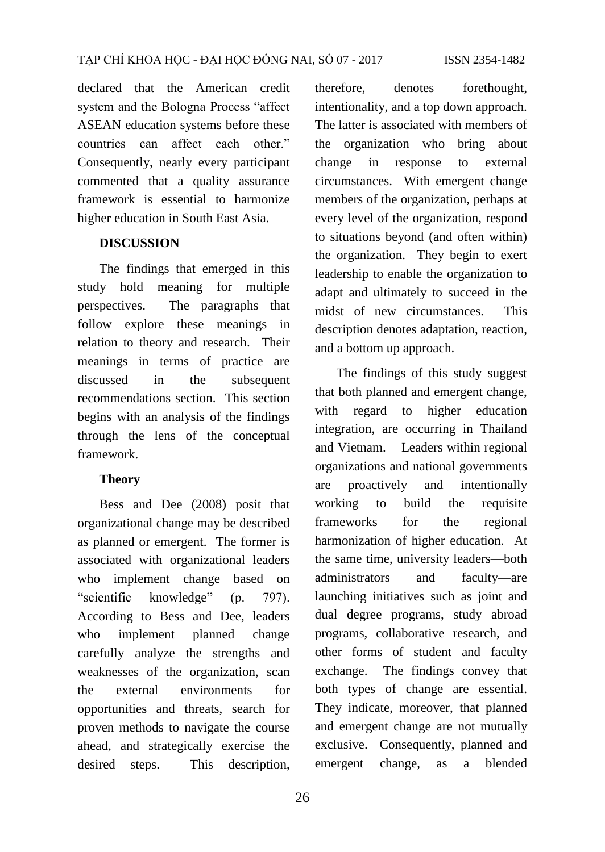declared that the American credit system and the Bologna Process "affect ASEAN education systems before these countries can affect each other." Consequently, nearly every participant commented that a quality assurance framework is essential to harmonize higher education in South East Asia.

#### **DISCUSSION**

The findings that emerged in this study hold meaning for multiple perspectives. The paragraphs that follow explore these meanings in relation to theory and research. Their meanings in terms of practice are discussed in the subsequent recommendations section. This section begins with an analysis of the findings through the lens of the conceptual framework.

#### **Theory**

Bess and Dee (2008) posit that organizational change may be described as planned or emergent. The former is associated with organizational leaders who implement change based on "scientific knowledge" (p. 797). According to Bess and Dee, leaders who implement planned change carefully analyze the strengths and weaknesses of the organization, scan the external environments for opportunities and threats, search for proven methods to navigate the course ahead, and strategically exercise the desired steps. This description, therefore, denotes forethought, intentionality, and a top down approach. The latter is associated with members of the organization who bring about change in response to external circumstances. With emergent change members of the organization, perhaps at every level of the organization, respond to situations beyond (and often within) the organization. They begin to exert leadership to enable the organization to adapt and ultimately to succeed in the midst of new circumstances. This description denotes adaptation, reaction, and a bottom up approach.

The findings of this study suggest that both planned and emergent change, with regard to higher education integration, are occurring in Thailand and Vietnam. Leaders within regional organizations and national governments are proactively and intentionally working to build the requisite frameworks for the regional harmonization of higher education. At the same time, university leaders—both administrators and faculty—are launching initiatives such as joint and dual degree programs, study abroad programs, collaborative research, and other forms of student and faculty exchange. The findings convey that both types of change are essential. They indicate, moreover, that planned and emergent change are not mutually exclusive. Consequently, planned and emergent change, as a blended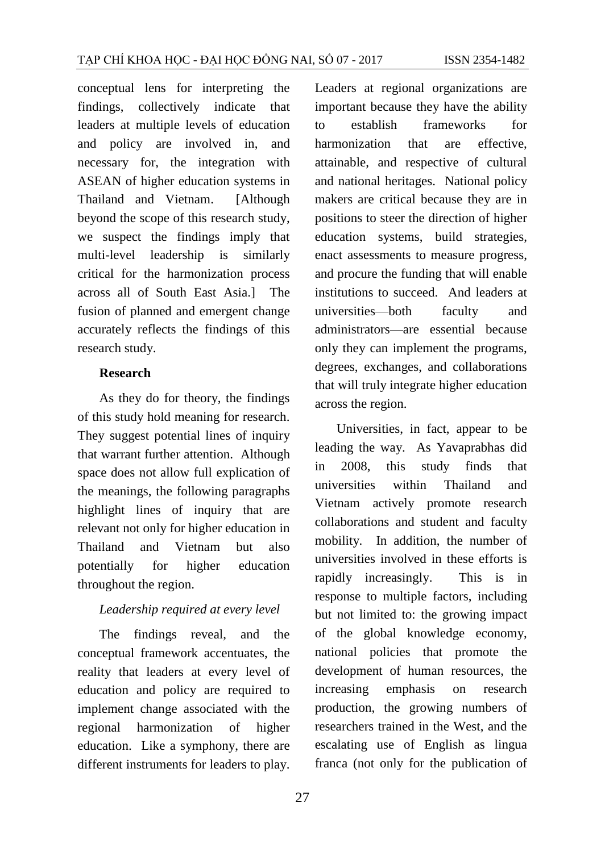conceptual lens for interpreting the findings, collectively indicate that leaders at multiple levels of education and policy are involved in, and necessary for, the integration with ASEAN of higher education systems in Thailand and Vietnam. [Although beyond the scope of this research study, we suspect the findings imply that multi-level leadership is similarly critical for the harmonization process across all of South East Asia.] The fusion of planned and emergent change accurately reflects the findings of this research study.

#### **Research**

As they do for theory, the findings of this study hold meaning for research. They suggest potential lines of inquiry that warrant further attention. Although space does not allow full explication of the meanings, the following paragraphs highlight lines of inquiry that are relevant not only for higher education in Thailand and Vietnam but also potentially for higher education throughout the region.

#### *Leadership required at every level*

The findings reveal, and the conceptual framework accentuates, the reality that leaders at every level of education and policy are required to implement change associated with the regional harmonization of higher education. Like a symphony, there are different instruments for leaders to play.

Leaders at regional organizations are important because they have the ability to establish frameworks for harmonization that are effective, attainable, and respective of cultural and national heritages. National policy makers are critical because they are in positions to steer the direction of higher education systems, build strategies, enact assessments to measure progress, and procure the funding that will enable institutions to succeed. And leaders at universities—both faculty and administrators—are essential because only they can implement the programs, degrees, exchanges, and collaborations that will truly integrate higher education across the region.

Universities, in fact, appear to be leading the way. As Yavaprabhas did in 2008, this study finds that universities within Thailand and Vietnam actively promote research collaborations and student and faculty mobility. In addition, the number of universities involved in these efforts is rapidly increasingly. This is in response to multiple factors, including but not limited to: the growing impact of the global knowledge economy, national policies that promote the development of human resources, the increasing emphasis on research production, the growing numbers of researchers trained in the West, and the escalating use of English as lingua franca (not only for the publication of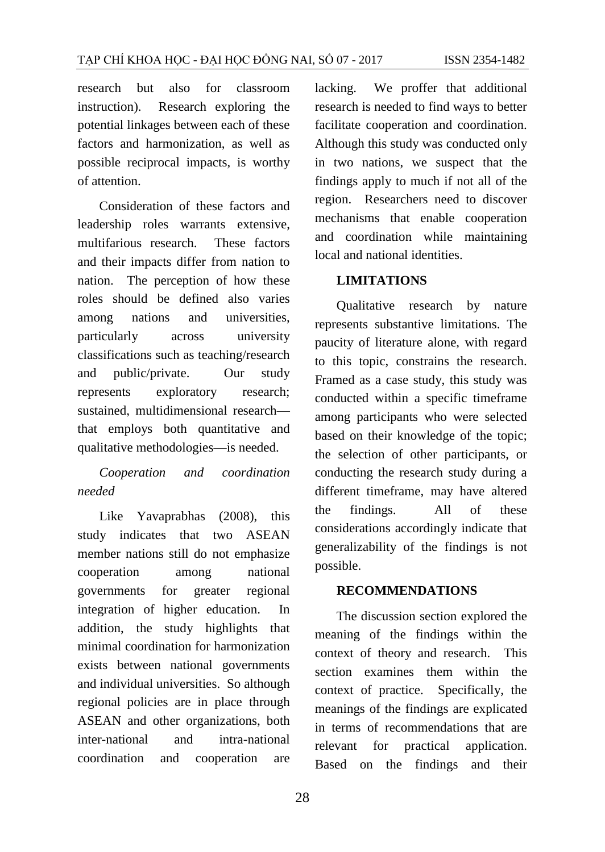research but also for classroom instruction). Research exploring the potential linkages between each of these factors and harmonization, as well as possible reciprocal impacts, is worthy of attention.

Consideration of these factors and leadership roles warrants extensive, multifarious research. These factors and their impacts differ from nation to nation. The perception of how these roles should be defined also varies among nations and universities, particularly across university classifications such as teaching/research and public/private. Our study represents exploratory research; sustained, multidimensional research that employs both quantitative and qualitative methodologies—is needed.

*Cooperation and coordination needed*

Like Yavaprabhas (2008), this study indicates that two ASEAN member nations still do not emphasize cooperation among national governments for greater regional integration of higher education. In addition, the study highlights that minimal coordination for harmonization exists between national governments and individual universities. So although regional policies are in place through ASEAN and other organizations, both inter-national and intra-national coordination and cooperation are

lacking. We proffer that additional research is needed to find ways to better facilitate cooperation and coordination. Although this study was conducted only in two nations, we suspect that the findings apply to much if not all of the region. Researchers need to discover mechanisms that enable cooperation and coordination while maintaining local and national identities.

#### **LIMITATIONS**

Qualitative research by nature represents substantive limitations. The paucity of literature alone, with regard to this topic, constrains the research. Framed as a case study, this study was conducted within a specific timeframe among participants who were selected based on their knowledge of the topic; the selection of other participants, or conducting the research study during a different timeframe, may have altered the findings. All of these considerations accordingly indicate that generalizability of the findings is not possible.

#### **RECOMMENDATIONS**

The discussion section explored the meaning of the findings within the context of theory and research. This section examines them within the context of practice. Specifically, the meanings of the findings are explicated in terms of recommendations that are relevant for practical application. Based on the findings and their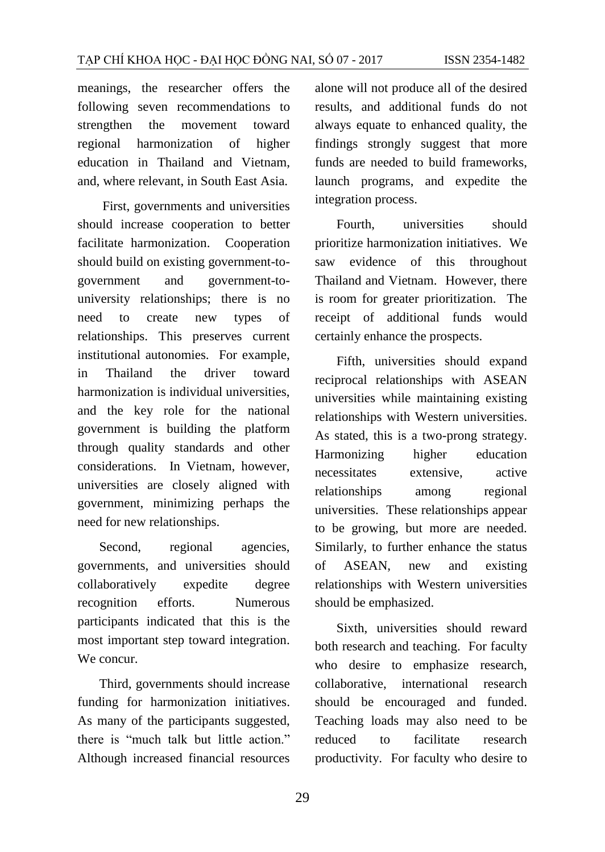meanings, the researcher offers the following seven recommendations to strengthen the movement toward regional harmonization of higher education in Thailand and Vietnam, and, where relevant, in South East Asia.

First, governments and universities should increase cooperation to better facilitate harmonization. Cooperation should build on existing government-togovernment and government-touniversity relationships; there is no need to create new types of relationships. This preserves current institutional autonomies. For example, in Thailand the driver toward harmonization is individual universities, and the key role for the national government is building the platform through quality standards and other considerations. In Vietnam, however, universities are closely aligned with government, minimizing perhaps the need for new relationships.

Second, regional agencies, governments, and universities should collaboratively expedite degree recognition efforts. Numerous participants indicated that this is the most important step toward integration. We concur.

Third, governments should increase funding for harmonization initiatives. As many of the participants suggested, there is "much talk but little action." Although increased financial resources alone will not produce all of the desired results, and additional funds do not always equate to enhanced quality, the findings strongly suggest that more funds are needed to build frameworks, launch programs, and expedite the integration process.

Fourth, universities should prioritize harmonization initiatives. We saw evidence of this throughout Thailand and Vietnam. However, there is room for greater prioritization. The receipt of additional funds would certainly enhance the prospects.

Fifth, universities should expand reciprocal relationships with ASEAN universities while maintaining existing relationships with Western universities. As stated, this is a two-prong strategy. Harmonizing higher education necessitates extensive, active relationships among regional universities. These relationships appear to be growing, but more are needed. Similarly, to further enhance the status of ASEAN, new and existing relationships with Western universities should be emphasized.

Sixth, universities should reward both research and teaching. For faculty who desire to emphasize research, collaborative, international research should be encouraged and funded. Teaching loads may also need to be reduced to facilitate research productivity. For faculty who desire to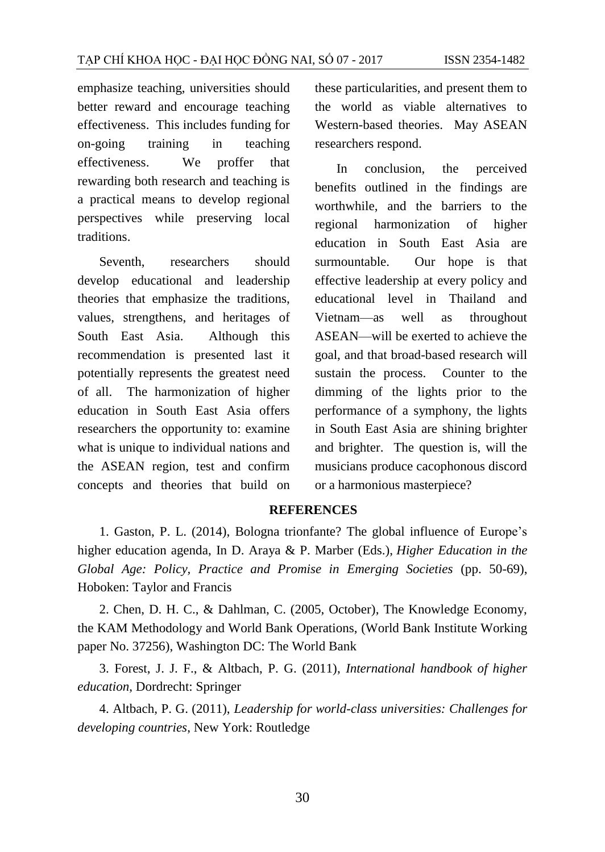emphasize teaching, universities should better reward and encourage teaching effectiveness. This includes funding for on-going training in teaching effectiveness. We proffer that rewarding both research and teaching is a practical means to develop regional perspectives while preserving local traditions.

Seventh, researchers should develop educational and leadership theories that emphasize the traditions, values, strengthens, and heritages of South East Asia. Although this recommendation is presented last it potentially represents the greatest need of all. The harmonization of higher education in South East Asia offers researchers the opportunity to: examine what is unique to individual nations and the ASEAN region, test and confirm concepts and theories that build on

these particularities, and present them to the world as viable alternatives to Western-based theories. May ASEAN researchers respond.

In conclusion, the perceived benefits outlined in the findings are worthwhile, and the barriers to the regional harmonization of higher education in South East Asia are surmountable. Our hope is that effective leadership at every policy and educational level in Thailand and Vietnam—as well as throughout ASEAN—will be exerted to achieve the goal, and that broad-based research will sustain the process. Counter to the dimming of the lights prior to the performance of a symphony, the lights in South East Asia are shining brighter and brighter. The question is, will the musicians produce cacophonous discord or a harmonious masterpiece?

#### **REFERENCES**

1. Gaston, P. L. (2014), Bologna trionfante? The global influence of Europe's higher education agenda, In D. Araya & P. Marber (Eds.), *Higher Education in the Global Age: Policy, Practice and Promise in Emerging Societies* (pp. 50-69), Hoboken: Taylor and Francis

2. Chen, D. H. C., & Dahlman, C. (2005, October), The Knowledge Economy, the KAM Methodology and World Bank Operations, (World Bank Institute Working paper No. 37256), Washington DC: The World Bank

3. Forest, J. J. F., & Altbach, P. G. (2011), *International handbook of higher education*, Dordrecht: Springer

4. Altbach, P. G. (2011), *Leadership for world-class universities: Challenges for developing countries*, New York: Routledge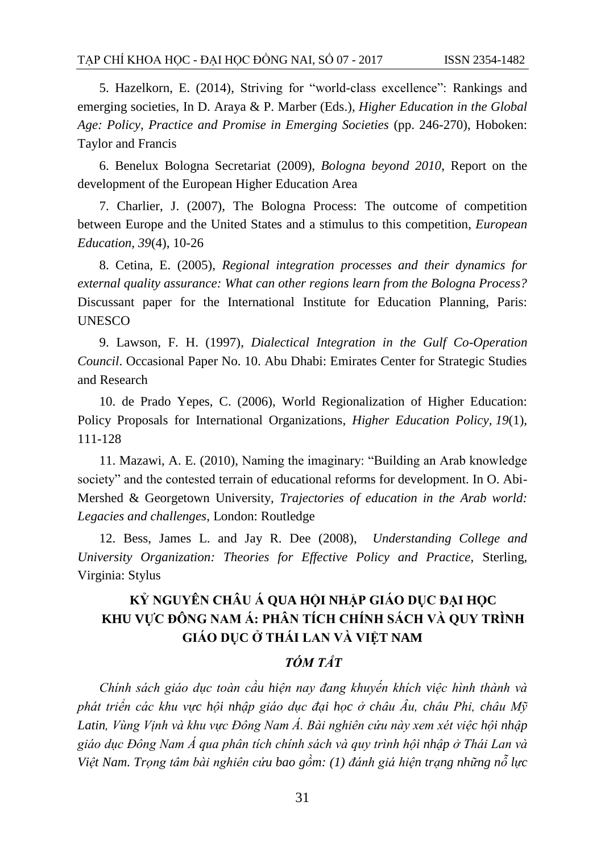5. Hazelkorn, E. (2014), Striving for "world-class excellence": Rankings and emerging societies, In D. Araya & P. Marber (Eds.), *Higher Education in the Global Age: Policy, Practice and Promise in Emerging Societies* (pp. 246-270), Hoboken: Taylor and Francis

6. Benelux Bologna Secretariat (2009), *Bologna beyond 2010*, Report on the development of the European Higher Education Area

7. Charlier, J. (2007), The Bologna Process: The outcome of competition between Europe and the United States and a stimulus to this competition, *European Education, 39*(4), 10-26

8. Cetina, E. (2005), *Regional integration processes and their dynamics for external quality assurance: What can other regions learn from the Bologna Process?* Discussant paper for the International Institute for Education Planning, Paris: UNESCO

9. Lawson, F. H. (1997), *Dialectical Integration in the Gulf Co-Operation Council*. Occasional Paper No. 10. Abu Dhabi: Emirates Center for Strategic Studies and Research

10. de Prado Yepes, C. (2006), World Regionalization of Higher Education: Policy Proposals for International Organizations, *Higher Education Policy, 19*(1), 111-128

11. Mazawi, A. E. (2010), Naming the imaginary: "Building an Arab knowledge society" and the contested terrain of educational reforms for development. In O. Abi-Mershed & Georgetown University, *Trajectories of education in the Arab world: Legacies and challenges*, London: Routledge

12. Bess, James L. and Jay R. Dee (2008), *Understanding College and University Organization: Theories for Effective Policy and Practice,* Sterling, Virginia: Stylus

# **KỶ NGUYÊN CHÂU Á QUA HỘI NHẬP GIÁO DỤC ĐẠI HỌC KHU VỰC ĐÔNG NAM Á: PHÂN TÍCH CHÍNH SÁCH VÀ QUY TRÌNH GIÁO DỤC Ở THÁI LAN VÀ VIỆT NAM**

## *TÓM TẮT*

*Chính sách giáo dục toàn cầu hiện nay đang khuyến khích việc hình thành và phát triển các khu vực hội nhập giáo dục đại học ở châu Âu, châu Phi, châu Mỹ Latin, Vùng Vịnh và khu vực Đông Nam Á. Bài nghiên cứu này xem xét việc hội nhập giáo dục Đông Nam Á qua phân tích chính sách và quy trình hội nhập ở Thái Lan và Việt Nam. Trọng tâm bài nghiên cứu bao gồm: (1) đánh giá hiện trạng những nỗ lực*